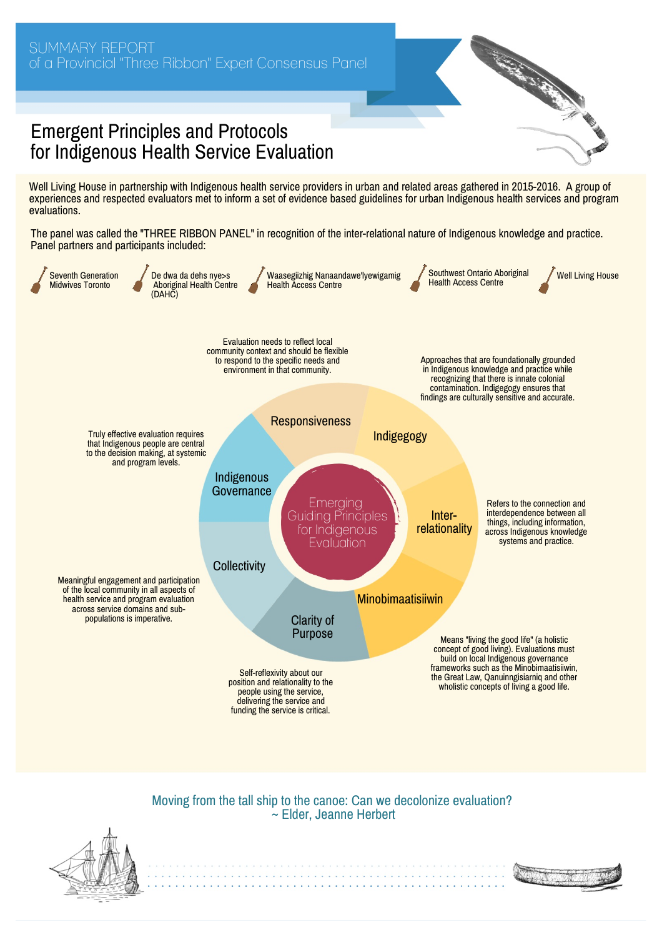## Emergent Principles and Protocols for Indigenous Health Service Evaluation

Well Living House in partnership with Indigenous health service providers in urban and related areas gathered in 2015-2016. A group of experiences and respected evaluators met to inform a set of evidence based guidelines for urban Indigenous health services and program evaluations.

The panel was called the "THREE RIBBON PANEL" in recognition of the inter-relational nature of Indigenous knowledge and practice. Panel partners and participants included:



## Moving from the tall ship to the canoe: Can we decolonize evaluation? ~ Elder, Jeanne Herbert





Antonio Carterini al Carteral